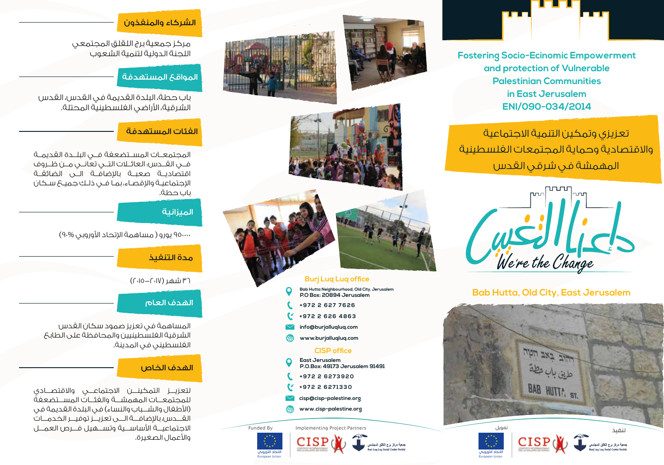

**Fostering Socio-Ecinomic Empowerment and protection of Vulnerable Palestinian Communities in East Jerusalem ENI/090-034/2014**

تعزيزي وتمكين التنمية الاجتماعية والاقتصادية وحماية المجتمعات الفلسطينية المهمشة في شرقي القدس



## **Bab Hutta, Old City, East Jerusalem**



<mark>لاتحاد اللوروبان</mark> European Union







ـ<br>جمعية مركز برج اللقلق المجتمع<br>uri Lua Lua Social Center Society

# **Burj Luq Luq office**

- **Bab Hutta Neighbourhood, Old City, Jerusalem P.O Box: 20894 Jerusalem**
- **+972 2 627 7626**
- **+972 2 626 4863**
- **info@burjalluqluq.com**
- **www.burjalluqluq.com**

### **CISP office**

- **East Jerusalem P.O.Box: 49173 Jerusalem 91491**
- **+972 2 6273920**
- **+972 2 6271330**
- **cisp@cisp-palestine.org**
- **www.cisp-palestine.org**

Funded By Implementing Project Partners



European Union

## الشركاء والمنفذون

مركز جمعية برج اللقلق المجتمعي اللجنة الدولية لتنمية الشعوب

## المواقع المستهدفة

باب حطة، البلدة القديمة في القدس، القدس الشرقية، اراضي الفلسطينية المحتلة.

## الفئات المستهدفة

المجتمعــات المســتضعفة فــي البلــدة القديمــة فــي القــدس: العائــلات التــي تعانــي مــن ظــروف اقتصاديــة صعبــة بالإضافــة الـــى الضائقــة اجتماعيـة واقصـاء، بمـا فـي ذلـك جميـع سـكان باب حطة.

### الميزانية

950000 يورو ( مساهمة اتحاد اوروبي 90%)

مدة التنفيذ

36 شهر (2015-2017)

### الهدف العام

المساهمة في تعزيز صمود سكان القدس الشرقية الفلسطينيين والمحافظة على الطابع الفلسطيني في المدينة.

## الهدف الخاص

لتعزيـــز التمكينـــن الاجتماعـــي والاقتصـــادي للمجتمعـــات المهمشـــة والفئـــات المســـتضعفة (اطفال والشـــباب والنساء) في البلدة القديمة في القـــدس، باضافـــة الـــى تعزيـــز توفيـــر الخدمـــات الاجتماعيـــة اساســـية وتســـهيل فـــرص العمـــل واعمال الصغيرة.